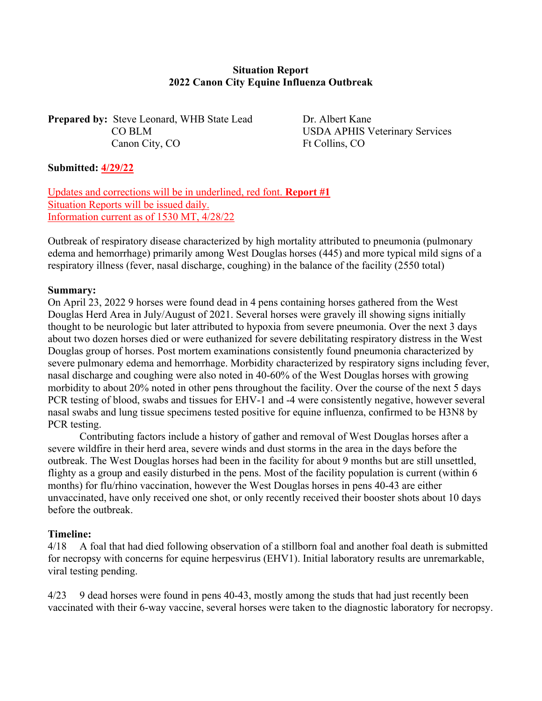## **Situation Report 2022 Canon City Equine Influenza Outbreak**

**Prepared by:** Steve Leonard, WHB State Lead Dr. Albert Kane Canon City, CO Ft Collins, CO

CO BLM USDA APHIS Veterinary Services

## **Submitted: 4/29/22**

Updates and corrections will be in underlined, red font. **Report #1** Situation Reports will be issued daily. Information current as of 1530 MT, 4/28/22

Outbreak of respiratory disease characterized by high mortality attributed to pneumonia (pulmonary edema and hemorrhage) primarily among West Douglas horses (445) and more typical mild signs of a respiratory illness (fever, nasal discharge, coughing) in the balance of the facility (2550 total)

## **Summary:**

On April 23, 2022 9 horses were found dead in 4 pens containing horses gathered from the West Douglas Herd Area in July/August of 2021. Several horses were gravely ill showing signs initially thought to be neurologic but later attributed to hypoxia from severe pneumonia. Over the next 3 days about two dozen horses died or were euthanized for severe debilitating respiratory distress in the West Douglas group of horses. Post mortem examinations consistently found pneumonia characterized by severe pulmonary edema and hemorrhage. Morbidity characterized by respiratory signs including fever, nasal discharge and coughing were also noted in 40-60% of the West Douglas horses with growing morbidity to about 20% noted in other pens throughout the facility. Over the course of the next 5 days PCR testing of blood, swabs and tissues for EHV-1 and -4 were consistently negative, however several nasal swabs and lung tissue specimens tested positive for equine influenza, confirmed to be H3N8 by PCR testing.

 Contributing factors include a history of gather and removal of West Douglas horses after a severe wildfire in their herd area, severe winds and dust storms in the area in the days before the outbreak. The West Douglas horses had been in the facility for about 9 months but are still unsettled, flighty as a group and easily disturbed in the pens. Most of the facility population is current (within 6 months) for flu/rhino vaccination, however the West Douglas horses in pens 40-43 are either unvaccinated, have only received one shot, or only recently received their booster shots about 10 days before the outbreak.

#### **Timeline:**

4/18 A foal that had died following observation of a stillborn foal and another foal death is submitted for necropsy with concerns for equine herpesvirus (EHV1). Initial laboratory results are unremarkable, viral testing pending.

4/23 9 dead horses were found in pens 40-43, mostly among the studs that had just recently been vaccinated with their 6-way vaccine, several horses were taken to the diagnostic laboratory for necropsy.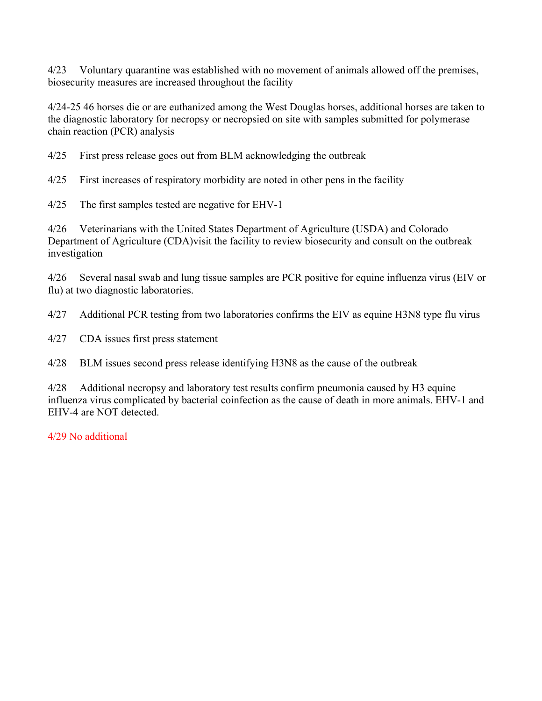4/23 Voluntary quarantine was established with no movement of animals allowed off the premises, biosecurity measures are increased throughout the facility

4/24-25 46 horses die or are euthanized among the West Douglas horses, additional horses are taken to the diagnostic laboratory for necropsy or necropsied on site with samples submitted for polymerase chain reaction (PCR) analysis

4/25 First press release goes out from BLM acknowledging the outbreak

4/25 First increases of respiratory morbidity are noted in other pens in the facility

4/25 The first samples tested are negative for EHV-1

4/26 Veterinarians with the United States Department of Agriculture (USDA) and Colorado Department of Agriculture (CDA)visit the facility to review biosecurity and consult on the outbreak investigation

4/26 Several nasal swab and lung tissue samples are PCR positive for equine influenza virus (EIV or flu) at two diagnostic laboratories.

4/27 Additional PCR testing from two laboratories confirms the EIV as equine H3N8 type flu virus

4/27 CDA issues first press statement

4/28 BLM issues second press release identifying H3N8 as the cause of the outbreak

4/28 Additional necropsy and laboratory test results confirm pneumonia caused by H3 equine influenza virus complicated by bacterial coinfection as the cause of death in more animals. EHV-1 and EHV-4 are NOT detected.

4/29 No additional